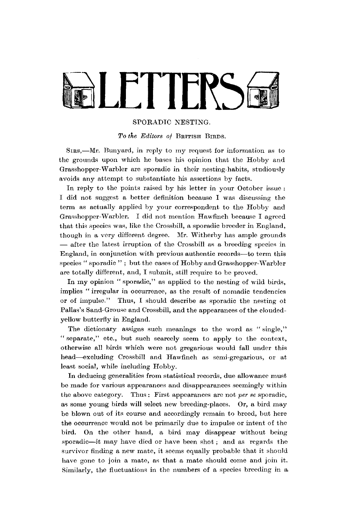# LETTERS **E**

### SPORADIC NESTING.

*To the Editors of* BRITISH BIRDS.

SIRS,—Mr. Bunyard, in reply to my request for information as to the grounds upon which he bases his opinion that the Hobby and Grasshopper-Warbler are sporadic in their nesting-habits, studiously avoids any attempt to substantiate his assertions by facts.

In reply to the points raised by his letter in your October issue : I did not suggest a better definition because I was discussing the term as actually applied by your correspondent to the Hobby and Grasshopper-Warbler. I did not mention Hawfinch because I agreed that this species was, like the Crossbill, a sporadic breeder in England, though in a very different degree. Mr. Witherby has ample grounds — after the latest irruption of the Crossbill as a breeding species in England, in conjunction with previous authentic records—to term this species " sporadic "; but the cases of Hobby and Grasshopper-Warbler are totally different, and, I submit, still require to be proved.

In my opinion " sporadic," as applied to the nesting of wild birds, implies " irregular in occurrence, as the result of nomadic tendencies or of impulse." Thus, I should describe as sporadic the nesting of Pallas's Sand-Grouse and Crossbill, and the appearances of the cloudedyellow butterfly in England.

The dictionary assigns such meanings to the word as "single." " separate," etc., but such scarcely seem to apply to the context, otherwise all birds which were not gregarious would fall under this head—excluding Crossbill and Hawfinch as semi-gregarious, or at least social, while including Hobby.

In deducing generalities from statistical records, due allowance must be made for various appearances and disappearances seemingly within the above category. Thus : First appearances are not *per se* sporadic, as some young birds will select new breeding-places. Or, a bird may be blown out of its course and accordingly remain to breed, but here the occurrence would not be primarily due to impulse or intent of the bird. On the other hand, a bird may disappear without being sporadic—it may have died or have been shot; and as regards the survivor finding a new mate, it seems equally probable that it should have gone to join a mate, as that a mate should come and join it. Similarly, the fluctuations in the numbers of a species breeding in a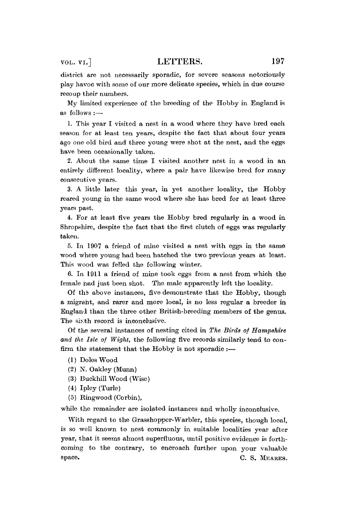district are not necessarily sporadic, for severe seasons notoriously play havoc with some of our more delicate species, which in due course recoup their numbers.

My limited experience of the breeding of the Hobby in England is as follows :—•

1. This year I visited a nest in a wood where they have bred each season for at least ten years, despite the fact that about four years ago one old bird and three young were shot at the nest, and the eggs have been occasionally taken.

2. About the same time I visited another nest in a wood in an entirely different locality, where a pair have likewise bred for many consecutive years.

3. A little later this year, in yet another locality, the Hobby reared young in the same wood where she has bred for at least three years past.

4. For at least five years the Hobby bred regularly in a wood in Shropshire, despite the fact that the first clutch of eggs was regularly taken.

5. In 1907 a friend of mine visited a nest with eggs in the same wood where young had been hatched the two previous years at least. This wood was felled the following winter.

6. In 1911 a friend of mine took eggs from a nest from which the female had just been shot. The male apparently left the locality.

Of the above instances, five demonstrate that the Hobby, though a migraht, and rarer and more local, is no less regular a breeder in England than the three other British-breeding members of the genus. The sixth record is inconclusive.

Of the several instances of nesting cited in *The Birds of Hampshire and the Isle of Wight,* the following five records similarly tend to confirm the statement that the Hobby is not sporadic  $:$ 

- (1) Doles Wood
- (2) N. Oakley (Munn)
- (3) Buckhill Wood (Wise)
- (4) Ipley (Turle)
- (5) Ringwood (Corbin),

while the remainder are isolated instances and wholly inconclusive.

With regard to the Grasshopper-Warbler, this species, though local, is so well known to nest commonly in suitable localities year after year, that it seems almost superfluous, until positive evidence is forthcoming to the contrary, to encroaeh further upon your valuable space. C. S. MEARES.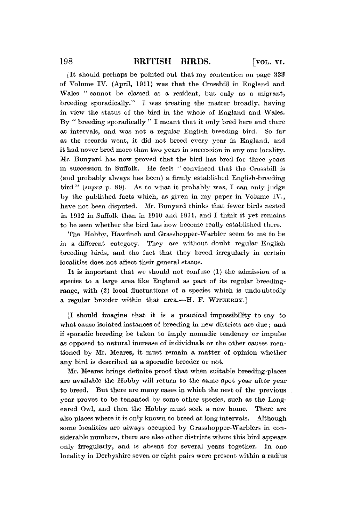[It should perhaps be pointed out that my contention on page 333 of Volume IV. (April, 1911) was that the Crossbill in England and Wales " cannot be classed as a resident, but only as a migrant, breeding sporadically." I was treating the matter broadly, having in view the status of the bird in the whole of England and Wales. By " breeding sporadically " I meant that it only bred here and there at intervals, and was not a regular English breeding bird. So far as the records went, it did not breed every year in England, and it had never bred more than two years in succession in any one locality. Mr. Bunyard has now proved that the bird has bred for three years in succession in Suffolk. He feels " convinced that the Crossbill is (and probably always has been) a firmly established English-breeding bird " *(supra* p. 89). As to what it probably was, I can only judge by the published facts which, as given in my paper in Volume IV., have not been disputed. Mr. Bunyard thinks that fewer birds nested in 1912 in Suffolk than in 1910 and 1911, and I think it yet remains to be seen whether the bird has now become really established there.

The Hobby, Hawfinch and Grasshopper-Warbler seem to me to be in a different category. They are without doubt regular English breeding birds, and the fact that they breed irregularly in certain localities does not affect their general status.

It is important that we should not confuse  $(1)$  the admission of a species to a large area like England as part of its regular breedingrange, with (2) local fluctuations of a species which is undoubtedly a regular breeder within that area.—H. F. WITHERBY.]

[I should imagine that it is a practical impossibility to say to what cause isolated instances of breeding in new districts are due ; and if sporadic breeding be taken to imply nomadic tendency or impulse as opposed to natural increase of individuals or the other causes mentioned by Mr. Meares, it must remain a matter of opinion whether any bird is described as a sporadic breeder or not.

Mr. Meares brings definite proof that when suitable breeding-places are available the Hobby will return to the same spot year after year to breed. But there are many cases in which the nest of the previous year proves to be tenanted by some other speeies, such as the Longeared Owl, and then the Hobby must seek a new home. There are also places where it is only known to breed at long intervals. Although some localities are always occupied by Grasshopper-Warblers in considerable numbers, there are also other districts where this bird appears only irregularly, and is absent for several years together. In one locality in Derbyshire seven or eight pairs were present within a radius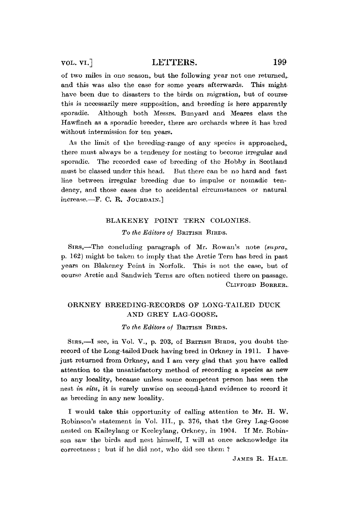## vol. vi.] LETTERS. 199

of two miles in one season, but the following year not one returned,, and this was also the case for some years afterwards. This might have been due to disasters to the birds on migration, but of coursethis is necessarily mere supposition, and breeding is here apparently sporadic. Although both Messrs. Bunyard and Meares class the Hawfinch as a sporadic breeder, there are orchards where it has bred without intermission for ten years.

As the limit of the breeding-range of any species is approached, there must always be a tendency for nesting to become irregular and sporadic. The recorded case of breeding of the Hobby in Scotland must be classed under this head. But there can be no hard and fast line between irregular breeding due to impulse or nomadic tendency, and those cases due to accidental circumstances or natural increase.—F. C. R. JOURDAIN.]

# BLAKENEY POINT TERN COLONIES. *To the Editors of* BRITISH BIRDS.

SIRS,—The concluding paragraph of Mr. Rowan's note *(supra,.*  p. 162) might be taken to imply that the Arctic Tern has bred in past years on Blakeney Point in Norfolk. This is not the case, but of course Arctic and Sandwich Terns are often noticed there on passage. CLIFFORD BORRER..

## ORKNEY BREEDING-RECORDS OF LONG-TAILED DUCK AND GREY LAG-GOOSE.

*To the Editors of* BRITISH BIRDS.

SIRS,—I see, in Vol. V., p. 203, of BRITISH BIRDS, you doubt therecord of the Long-tailed Duck having bred in Orkney in 1911. I havejust returned from Orkney, and I am very glad that you have called attention to the unsatisfactory method of recording a species as new to any locality, because unless some competent person has seen the nest *in situ,* it is surely unwise on second-hand evidence to record it as breeding in any new locality.

I would take this opportunity of calling attention to Mr. H. W. Robinson's statement in Vol. III., p. 376, that the Grey Lag-Goose nested on Kaileylang or Keeleylang, Orkney, in 1904. If Mr. Robinson saw the birds and nest himself, I will at once acknowledge its correctness ; but if he did not, who did see them ?

JAMES R. HALE.